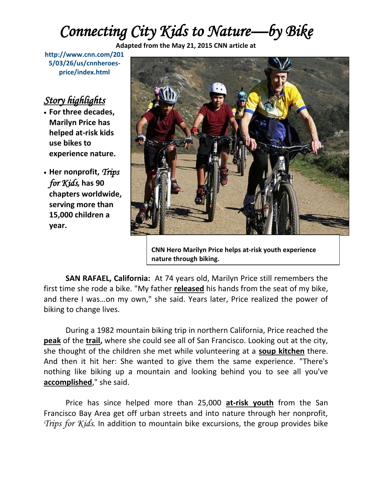## *Connecting City Kids to Nature—by Bike*

**Adapted from the May 21, 2015 CNN article at** 

**[http://www.cnn.com/201](http://www.cnn.com/2015/03/26/us/cnnheroes-price/index.html) [5/03/26/us/cnnheroes](http://www.cnn.com/2015/03/26/us/cnnheroes-price/index.html)[price/index.html](http://www.cnn.com/2015/03/26/us/cnnheroes-price/index.html)**

## *Story highlights*

- **For three decades, Marilyn Price has helped at-risk kids use bikes to experience nature.**
- **Her nonprofit,** *Trips for Kids***, has 90 chapters worldwide, serving more than 15,000 children a year.**



**CNN Hero Marilyn Price helps at-risk youth experience nature through biking.**

**SAN RAFAEL, California:** At 74 years old, Marilyn Price still remembers the first time she rode a bike. "My father **released** his hands from the seat of my bike, and there I was…on my own," she said. Years later, Price realized the power of biking to change lives.

During a 1982 mountain biking trip in northern California, Price reached the **peak** of the **trail,** where she could see all of San Francisco. Looking out at the city, she thought of the children she met while volunteering at a **soup kitchen** there. And then it hit her: She wanted to give them the same experience. "There's nothing like biking up a mountain and looking behind you to see all you've **accomplished**," she said.

Price has since helped more than 25,000 **at-risk youth** from the San Francisco Bay Area get off urban streets and into nature through her nonprofit, *[Trips for Kids](http://www.tripsforkids.org/)*. In addition to mountain bike excursions, the group provides bike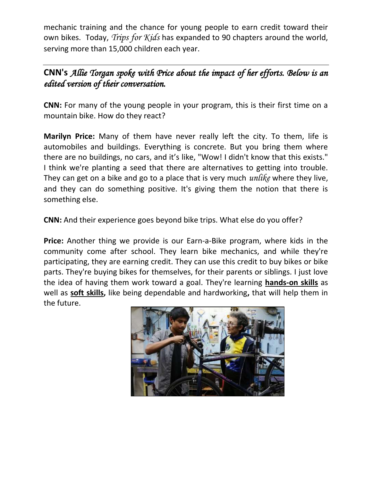mechanic training and the chance for young people to earn credit toward their own bikes. Today, *[Trips for Kids](http://www.tripsforkids.org/)* has expanded to 90 chapters around the world, serving more than 15,000 children each year.

## **CNN's** *Allie Torgan spoke with Price about the impact of her efforts. Below is an edited version of their conversation.*

**CNN:** For many of the young people in your program, this is their first time on a mountain bike. How do they react?

**Marilyn Price:** Many of them have never really left the city. To them, life is automobiles and buildings. Everything is concrete. But you bring them where there are no buildings, no cars, and it's like, "Wow! I didn't know that this exists." I think we're planting a seed that there are alternatives to getting into trouble. They can get on a bike and go to a place that is very much *unlike* where they live, and they can do something positive. It's giving them the notion that there is something else.

**CNN:** And their experience goes beyond bike trips. What else do you offer?

**Price:** Another thing we provide is our Earn-a-Bike program, where kids in the community come after school. They learn bike mechanics, and while they're participating, they are earning credit. They can use this credit to buy bikes or bike parts. They're buying bikes for themselves, for their parents or siblings. I just love the idea of having them work toward a goal. They're learning **hands-on skills** as well as **soft skills,** like being dependable and hardworking**,** that will help them in the future.